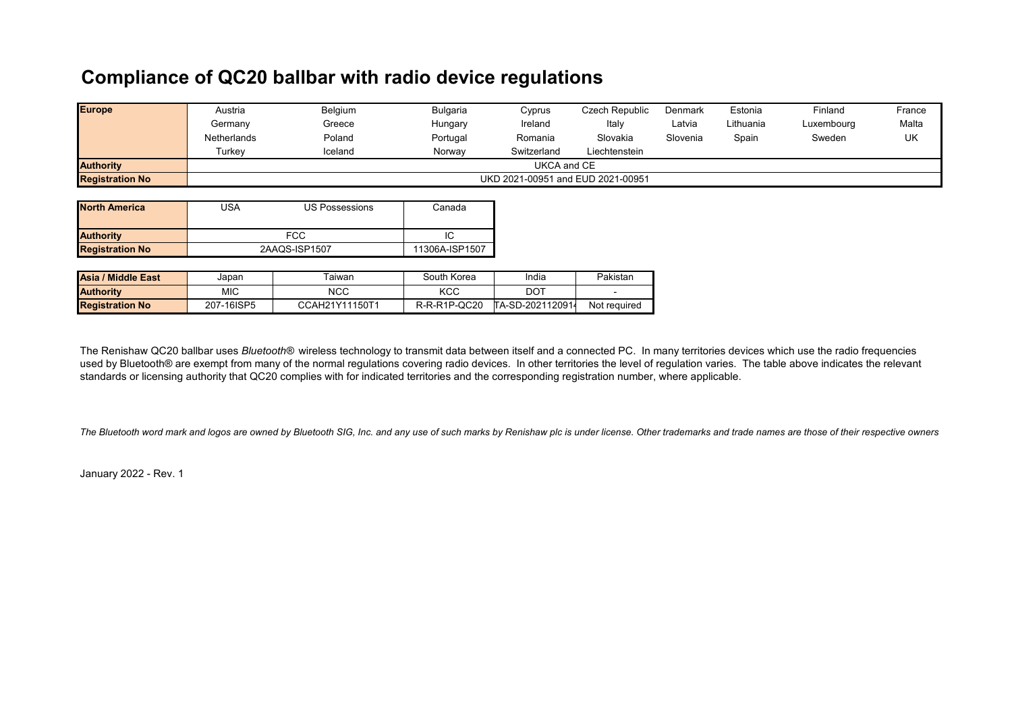## **Compliance of QC20 ballbar with radio device regulations**

| <b>Europe</b>          | Austria                           | Belgium | Bulgaria | Cyprus      | Czech Republic | Denmark  | Estonia   | Finland    | France |
|------------------------|-----------------------------------|---------|----------|-------------|----------------|----------|-----------|------------|--------|
|                        | Germany                           | Greece  | Hungary  | Ireland     | Italy          | Latvia   | Lithuania | Luxembourg | Malta  |
|                        | Netherlands                       | Poland  | Portugal | Romania     | Slovakia       | Slovenia | Spain     | Sweden     | UK     |
|                        | Turkev                            | Iceland | Norway   | Switzerland | Liechtenstein  |          |           |            |        |
| <b>Authority</b>       | UKCA and CE                       |         |          |             |                |          |           |            |        |
| <b>Registration No</b> | UKD 2021-00951 and EUD 2021-00951 |         |          |             |                |          |           |            |        |

| <b>North America</b>   | JSA | US Possessions | Canada |  |
|------------------------|-----|----------------|--------|--|
| <b>Authority</b>       | FCC |                |        |  |
| <b>Registration No</b> |     | 2AAQS-ISP1507  |        |  |

| Asia / Middle East     | Japan      | aiwan          | South Korea  | India            | Pakistan     |
|------------------------|------------|----------------|--------------|------------------|--------------|
| <b>Authority</b>       | МIС        | NCC            | KCC          | DOT              |              |
| <b>Registration No</b> | 207-16ISP5 | CCAH21Y11150T1 | R-R-R1P-QC20 | TA-SD-2021120914 | Not required |

The Renishaw QC20 ballbar uses *Bluetooth®* wireless technology to transmit data between itself and a connected PC. In many territories devices which use the radio frequencies used by Bluetooth® are exempt from many of the normal regulations covering radio devices. In other territories the level of regulation varies. The table above indicates the relevant standards or licensing authority that QC20 complies with for indicated territories and the corresponding registration number, where applicable.

*The Bluetooth word mark and logos are owned by Bluetooth SIG, Inc. and any use of such marks by Renishaw plc is under license. Other trademarks and trade names are those of their respective owners*

January 2022 - Rev. 1